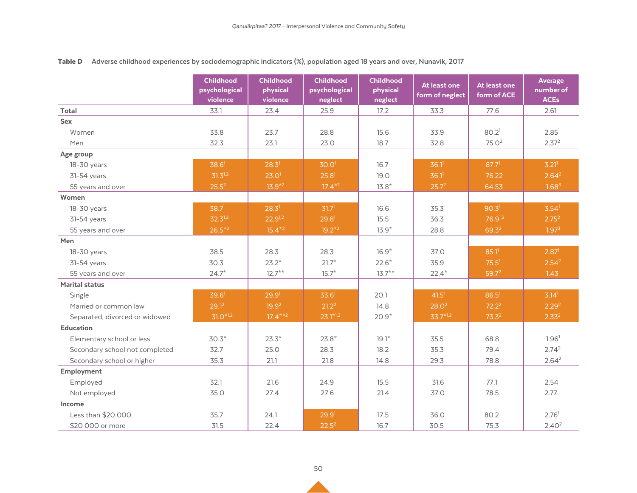|                                | <b>Childhood</b><br>psychological<br>violence | <b>Childhood</b><br>physical<br>violence | <b>Childhood</b><br>psychological<br>neglect | <b>Childhood</b><br>physical<br>neglect | At least one<br>form of neglect | At least one<br>form of ACE | <b>Average</b><br>number of<br><b>ACEs</b> |
|--------------------------------|-----------------------------------------------|------------------------------------------|----------------------------------------------|-----------------------------------------|---------------------------------|-----------------------------|--------------------------------------------|
| <b>Total</b>                   | 33.1                                          | 23.4                                     | 25.9                                         | 17.2                                    | 33.3                            | 77.6                        | 2.61                                       |
| Sex                            |                                               |                                          |                                              |                                         |                                 |                             |                                            |
| Women                          | 33.8                                          | 23.7                                     | 28.8                                         | 15.6                                    | 33.9                            | 80.2 <sup>1</sup>           | 2.85 <sup>1</sup>                          |
| Men                            | 32.3                                          | 23.1                                     | 23.0                                         | 18.7                                    | 32.8                            | 75.0 <sup>2</sup>           | 2.37 <sup>2</sup>                          |
| Age group                      |                                               |                                          |                                              |                                         |                                 |                             |                                            |
| 18-30 years                    | 38.6 <sup>1</sup>                             | 28.3 <sup>1</sup>                        | 30.0 <sup>1</sup>                            | 16.7                                    | $36.1$ <sup>1</sup>             | 87.7 <sup>1</sup>           | 3.21 <sup>1</sup>                          |
| 31-54 years                    | $31.3^{1,2}$                                  | 23.0 <sup>1</sup>                        | 25.8 <sup>1</sup>                            | 19.0                                    | $36.1$ <sup>1</sup>             | 76.22                       | 2.64 <sup>2</sup>                          |
| 55 years and over              | $25.5^2$                                      | $13.9*2$                                 | $17.4*2$                                     | $13.8*$                                 | 25.7 <sup>2</sup>               | 64.53                       | 1.68 <sup>3</sup>                          |
| Women                          |                                               |                                          |                                              |                                         |                                 |                             |                                            |
| 18-30 years                    | 38.7 <sup>1</sup>                             | 28.3 <sup>1</sup>                        | 31.7 <sup>1</sup>                            | 16.6                                    | 35.3                            | 90.3 <sup>1</sup>           | $3.54$ <sup>1</sup>                        |
| 31-54 years                    | $32.3^{1,2}$                                  | $22.9^{1,2}$                             | 29.8 <sup>1</sup>                            | 15.5                                    | 36.3                            | $76.9^{1,2}$                | 2.75 <sup>2</sup>                          |
| 55 years and over              | $26.5*^2$                                     | $15.4*2$                                 | $19.2*2$                                     | $13.9*$                                 | 28.8                            | $69.3^2$                    | 1.97 <sup>3</sup>                          |
| Men                            |                                               |                                          |                                              |                                         |                                 |                             |                                            |
| 18-30 years                    | 38.5                                          | 28.3                                     | 28.3                                         | $16.9*$                                 | 37.0                            | 85.1 <sup>1</sup>           | 2.87 <sup>1</sup>                          |
| 31-54 years                    | 30.3                                          | $23.2*$                                  | $21.7*$                                      | $22.6*$                                 | 35.9                            | 75.5 <sup>1</sup>           | 2.54 <sup>2</sup>                          |
| 55 years and over              | $24.7*$                                       | $12.7***$                                | $15.7*$                                      | $13.7***$                               | $22.4*$                         | $59.7^2$                    | 1.43                                       |
| <b>Marital status</b>          |                                               |                                          |                                              |                                         |                                 |                             |                                            |
| Single                         | 39.6 <sup>1</sup>                             | 29.9 <sup>1</sup>                        | 33.6 <sup>1</sup>                            | 20.1                                    | 41.5 <sup>1</sup>               | 86.5 <sup>1</sup>           | 3.14 <sup>1</sup>                          |
| Married or common law          | $29.1^2$                                      | 19.9 <sup>2</sup>                        | $21.2^2$                                     | 14.8                                    | 28.0 <sup>2</sup>               | $72.2^2$                    | 2.29 <sup>2</sup>                          |
| Separated, divorced or widowed | $31.0*1.2$                                    | $17.4***2$                               | $23.1*1,2$                                   | $20.9*$                                 | $33.7*1.2$                      | $73.3^2$                    | 2.33 <sup>2</sup>                          |
| <b>Education</b>               |                                               |                                          |                                              |                                         |                                 |                             |                                            |
| Elementary school or less      | $30.3*$                                       | $23.3*$                                  | $23.8*$                                      | $19.1*$                                 | 35.5                            | 68.8                        | 1.96 <sup>1</sup>                          |
| Secondary school not completed | 32.7                                          | 25.0                                     | 28.3                                         | 18.2                                    | 35.3                            | 79.4                        | 2.74 <sup>2</sup>                          |
| Secondary school or higher     | 35.3                                          | 21.1                                     | 21.8                                         | 14.8                                    | 29.3                            | 78.8                        | 2.64 <sup>2</sup>                          |
| Employment                     |                                               |                                          |                                              |                                         |                                 |                             |                                            |
| Employed                       | 32.1                                          | 21.6                                     | 24.9                                         | 15.5                                    | 31.6                            | 77.1                        | 2.54                                       |
| Not employed                   | 35.0                                          | 27.4                                     | 27.6                                         | 21.4                                    | 37.0                            | 78.5                        | 2.77                                       |
| Income                         |                                               |                                          |                                              |                                         |                                 |                             |                                            |
| Less than \$20 000             | 35.7                                          | 24.1                                     | 29.9 <sup>1</sup>                            | 17.5                                    | 36.0                            | 80.2                        | 2.76 <sup>1</sup>                          |
| \$20 000 or more               | 31.5                                          | 22.4                                     | $22.5^2$                                     | 16.7                                    | 30.5                            | 75.3                        | 2.40 <sup>2</sup>                          |

## Table D **Adverse childhood experiences by sociodemographic indicators (%), population aged 18 years and over, Nunavik, 2017**